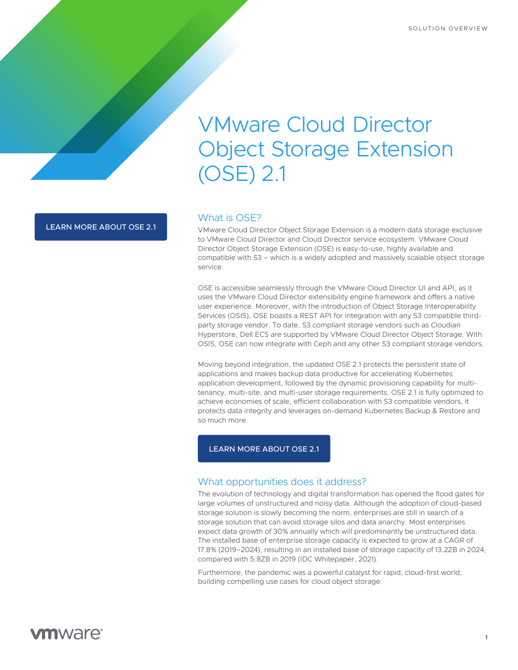# VMware Cloud Director Object Storage Extension (OSE) 2.1

[LEARN MORE ABOUT OSE 2.1](https://bit.ly/39udrm4)

# What is OSE?

VMware Cloud Director Object Storage Extension is a modern data storage exclusive to VMware Cloud Director and Cloud Director service ecosystem. VMware Cloud Director Object Storage Extension (OSE) is easy-to-use, highly available and compatible with S3 – which is a widely adopted and massively scalable object storage service.

OSE is accessible seamlessly through the VMware Cloud Director UI and API, as it uses the VMware Cloud Director extensibility engine framework and offers a native user experience. Moreover, with the introduction of Object Storage Interoperability Services (OSIS), OSE boasts a REST API for integration with any S3 compatible thirdparty storage vendor. To date, S3 compliant storage vendors such as Cloudian Hyperstore, Dell ECS are supported by VMware Cloud Director Object Storage. With OSIS, OSE can now integrate with Ceph and any other S3 compliant storage vendors.

Moving beyond integration, the updated OSE 2.1 protects the persistent state of applications and makes backup data productive for accelerating Kubernetes application development, followed by the dynamic provisioning capability for multitenancy, multi-site, and multi-user storage requirements. OSE 2.1 is fully optimized to achieve economies of scale, efficient collaboration with S3 compatible vendors, it protects data integrity and leverages on-demand Kubernetes Backup & Restore and so much more.

## [LEARN MORE ABOUT OSE 2.1](https://bit.ly/39udrm4)

# What opportunities does it address?

The evolution of technology and digital transformation has opened the flood gates for large volumes of unstructured and noisy data. Although the adoption of cloud-based storage solution is slowly becoming the norm, enterprises are still in search of a storage solution that can avoid storage silos and data anarchy. Most enterprises expect data growth of 30% annually which will predominantly be unstructured data. The installed base of enterprise storage capacity is expected to grow at a CAGR of 17.8% (2019–2024), resulting in an installed base of storage capacity of 13.2ZB in 2024, compared with 5.8ZB in 2019 (IDC Whitepaper, 2021).

Furthermore, the pandemic was a powerful catalyst for rapid, cloud-first world; building compelling use cases for cloud object storage:

**1**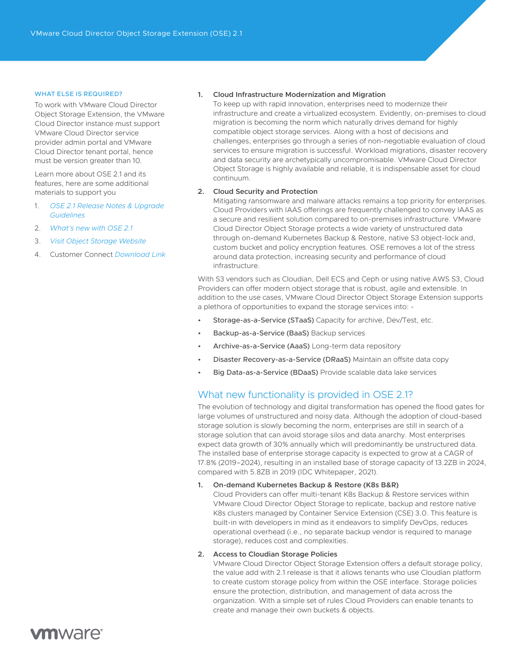#### WHAT ELSE IS REQUIRED?

To work with VMware Cloud Director Object Storage Extension, the VMware Cloud Director instance must support VMware Cloud Director service provider admin portal and VMware Cloud Director tenant portal, hence must be version greater than 10.

Learn more about OSE 2.1 and its features, here are some additional materials to support you

- 1. *[OSE 2.1 Release Notes & Upgrade](https://docs.vmware.com/en/VMware-Cloud-Director-Object-Storage-Extension/2.1/rn/vmware-cloud-director-object-storage-extension-21-release-notes/index.html)  [Guidelines](https://docs.vmware.com/en/VMware-Cloud-Director-Object-Storage-Extension/2.1/rn/vmware-cloud-director-object-storage-extension-21-release-notes/index.html)*
- 2. *[What's new with OSE 2.1](https://bit.ly/39udrm4)*
- 3. *[Visit Object Storage Website](https://bit.ly/32xAKbq)*
- 4. Customer Connect *[Download Link](https://bit.ly/3v21615)*

#### **1. Cloud Infrastructure Modernization and Migration**

To keep up with rapid innovation, enterprises need to modernize their infrastructure and create a virtualized ecosystem. Evidently, on-premises to cloud migration is becoming the norm which naturally drives demand for highly compatible object storage services. Along with a host of decisions and challenges, enterprises go through a series of non-negotiable evaluation of cloud services to ensure migration is successful. Workload migrations, disaster recovery and data security are archetypically uncompromisable. VMware Cloud Director Object Storage is highly available and reliable, it is indispensable asset for cloud continuum.

#### **2. Cloud Security and Protection**

Mitigating ransomware and malware attacks remains a top priority for enterprises. Cloud Providers with IAAS offerings are frequently challenged to convey IAAS as a secure and resilient solution compared to on-premises infrastructure. VMware Cloud Director Object Storage protects a wide variety of unstructured data through on-demand Kubernetes Backup & Restore, native S3 object-lock and, custom bucket and policy encryption features. OSE removes a lot of the stress around data protection, increasing security and performance of cloud infrastructure.

With S3 vendors such as Cloudian, Dell ECS and Ceph or using native AWS S3, Cloud Providers can offer modern object storage that is robust, agile and extensible. In addition to the use cases, VMware Cloud Director Object Storage Extension supports a plethora of opportunities to expand the storage services into: -

- Storage-as-a-Service (STaaS) Capacity for archive, Dev/Test, etc.
- Backup-as-a-Service (BaaS) Backup services
- Archive-as-a-Service (AaaS) Long-term data repository
- Disaster Recovery-as-a-Service (DRaaS) Maintain an offsite data copy
- Big Data-as-a-Service (BDaaS) Provide scalable data lake services

# What new functionality is provided in OSE 2.1?

The evolution of technology and digital transformation has opened the flood gates for large volumes of unstructured and noisy data. Although the adoption of cloud-based storage solution is slowly becoming the norm, enterprises are still in search of a storage solution that can avoid storage silos and data anarchy. Most enterprises expect data growth of 30% annually which will predominantly be unstructured data. The installed base of enterprise storage capacity is expected to grow at a CAGR of 17.8% (2019–2024), resulting in an installed base of storage capacity of 13.2ZB in 2024, compared with 5.8ZB in 2019 (IDC Whitepaper, 2021).

#### **1. On-demand Kubernetes Backup & Restore (K8s B&R)**

Cloud Providers can offer multi-tenant K8s Backup & Restore services within VMware Cloud Director Object Storage to replicate, backup and restore native K8s clusters managed by Container Service Extension (CSE) 3.0. This feature is built-in with developers in mind as it endeavors to simplify DevOps, reduces operational overhead (i.e., no separate backup vendor is required to manage storage), reduces cost and complexities.

## **2. Access to Cloudian Storage Policies**

VMware Cloud Director Object Storage Extension offers a default storage policy, the value add with 2.1 release is that it allows tenants who use Cloudian platform to create custom storage policy from within the OSE interface. Storage policies ensure the protection, distribution, and management of data across the organization. With a simple set of rules Cloud Providers can enable tenants to create and manage their own buckets & objects.